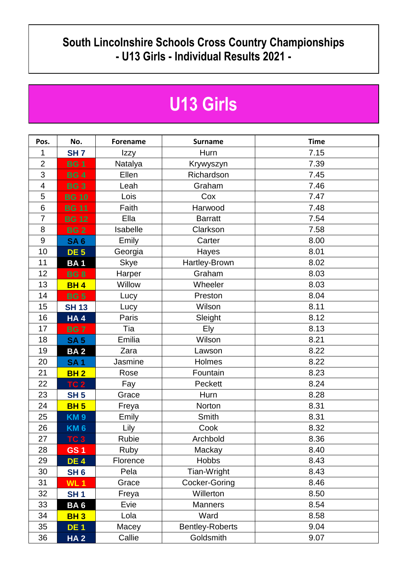## **South Lincolnshire Schools Cross Country Championships - U13 Girls - Individual Results 2021 -**

## **U13 Girls**

| Pos.                     | No.             | <b>Forename</b> | <b>Surname</b>         | <b>Time</b> |
|--------------------------|-----------------|-----------------|------------------------|-------------|
| 1                        | SH <sub>7</sub> | Izzy            | Hurn                   | 7.15        |
| $\overline{2}$           | <b>BG1</b>      | Natalya         | Krywyszyn              | 7.39        |
| 3                        | <b>BG4</b>      | Ellen           | Richardson             | 7.45        |
| $\overline{\mathcal{A}}$ | <b>BG3</b>      | Leah            | Graham                 | 7.46        |
| 5                        | <b>BG 10</b>    | Lois            | Cox                    | 7.47        |
| 6                        | <b>BG 11</b>    | Faith           | Harwood                | 7.48        |
| 7                        | <b>BG 12</b>    | Ella            | <b>Barratt</b>         | 7.54        |
| 8                        | <b>BG2</b>      | Isabelle        | Clarkson               | 7.58        |
| $9$                      | <b>SA6</b>      | Emily           | Carter                 | 8.00        |
| 10                       | <b>DE 5</b>     | Georgia         | Hayes                  | 8.01        |
| 11                       | <b>BA1</b>      | <b>Skye</b>     | Hartley-Brown          | 8.02        |
| 12                       | <b>BG8</b>      | Harper          | Graham                 | 8.03        |
| 13                       | <b>BH4</b>      | Willow          | Wheeler                | 8.03        |
| 14                       | <b>BG 5</b>     | Lucy            | Preston                | 8.04        |
| 15                       | <b>SH 13</b>    | Lucy            | Wilson                 | 8.11        |
| 16                       | <b>HA4</b>      | Paris           | Sleight                | 8.12        |
| 17                       | <b>BG7</b>      | Tia             | <b>Ely</b>             | 8.13        |
| 18                       | <b>SA 5</b>     | Emilia          | Wilson                 | 8.21        |
| 19                       | <b>BA2</b>      | Zara            | Lawson                 | 8.22        |
| 20                       | <b>SA1</b>      | Jasmine         | Holmes                 | 8.22        |
| 21                       | <b>BH2</b>      | Rose            | Fountain               | 8.23        |
| 22                       | <b>TC 2</b>     | Fay             | Peckett                | 8.24        |
| 23                       | <b>SH 5</b>     | Grace           | Hurn                   | 8.28        |
| 24                       | <b>BH 5</b>     | Freya           | Norton                 | 8.31        |
| 25                       | <b>KM9</b>      | Emily           | Smith                  | 8.31        |
| 26                       | <b>KM6</b>      | Lily            | Cook                   | 8.32        |
| 27                       | TC 3            | Rubie           | Archbold               | 8.36        |
| 28                       | <b>GS1</b>      | Ruby            | Mackay                 | 8.40        |
| 29                       | <b>DE 4</b>     | Florence        | <b>Hobbs</b>           | 8.43        |
| 30                       | SH <sub>6</sub> | Pela            | Tian-Wright            | 8.43        |
| 31                       | <b>WL1</b>      | Grace           | Cocker-Goring          | 8.46        |
| 32                       | SH <sub>1</sub> | Freya           | Willerton              | 8.50        |
| 33                       | BA <sub>6</sub> | Evie            | <b>Manners</b>         | 8.54        |
| 34                       | <b>BH3</b>      | Lola            | Ward                   | 8.58        |
| 35                       | <b>DE1</b>      | Macey           | <b>Bentley-Roberts</b> | 9.04        |
| 36                       | <b>HA2</b>      | Callie          | Goldsmith              | 9.07        |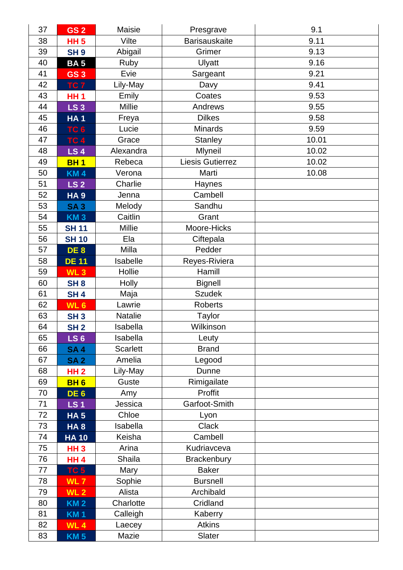| 37 | GS <sub>2</sub> | Maisie          | Presgrave            | 9.1   |
|----|-----------------|-----------------|----------------------|-------|
| 38 | <b>HH 5</b>     | Vilte           | <b>Barisauskaite</b> | 9.11  |
| 39 | <b>SH9</b>      | Abigail         | Grimer               | 9.13  |
| 40 | <b>BA5</b>      | Ruby            | Ulyatt               | 9.16  |
| 41 | <b>GS3</b>      | Evie            | Sargeant             | 9.21  |
| 42 | TC <sub>7</sub> | Lily-May        | Davy                 | 9.41  |
| 43 | <b>HH1</b>      | Emily           | Coates               | 9.53  |
| 44 | <b>LS 3</b>     | Millie          | Andrews              | 9.55  |
| 45 | <b>HA1</b>      | Freya           | <b>Dilkes</b>        | 9.58  |
| 46 | TC <sub>6</sub> | Lucie           | <b>Minards</b>       | 9.59  |
| 47 | <b>TC 4</b>     | Grace           | <b>Stanley</b>       | 10.01 |
| 48 | <b>LS4</b>      | Alexandra       | Mlyneil              | 10.02 |
| 49 | <b>BH1</b>      | Rebeca          | Liesis Gutierrez     | 10.02 |
| 50 | <b>KM4</b>      | Verona          | Marti                | 10.08 |
| 51 | <b>LS 2</b>     | Charlie         | Haynes               |       |
| 52 | <b>HA9</b>      | Jenna           | Cambell              |       |
| 53 | <b>SA3</b>      | Melody          | Sandhu               |       |
| 54 | <b>KM3</b>      | Caitlin         | Grant                |       |
| 55 | <b>SH 11</b>    | <b>Millie</b>   | Moore-Hicks          |       |
| 56 | <b>SH 10</b>    | Ela             | Ciftepala            |       |
| 57 | DE <sub>8</sub> | Milla           | Pedder               |       |
| 58 | <b>DE 11</b>    | Isabelle        | Reyes-Riviera        |       |
| 59 | WL <sub>3</sub> | Hollie          | Hamill               |       |
| 60 | SH <sub>8</sub> | Holly           | <b>Bignell</b>       |       |
| 61 | <b>SH4</b>      | Maja            | <b>Szudek</b>        |       |
| 62 | WL <sub>6</sub> | Lawrie          | <b>Roberts</b>       |       |
| 63 | <b>SH3</b>      | Natalie         | Taylor               |       |
| 64 | SH <sub>2</sub> | Isabella        | Wilkinson            |       |
| 65 | <b>LS 6</b>     | <b>Isabella</b> | Leuty                |       |
| 66 | <b>SA4</b>      | <b>Scarlett</b> | <b>Brand</b>         |       |
| 67 | <b>SA2</b>      | Amelia          | Legood               |       |
| 68 | <b>HH 2</b>     | Lily-May        | Dunne                |       |
| 69 | <b>BH6</b>      | Guste           | Rimigailate          |       |
| 70 | DE <sub>6</sub> | Amy             | Proffit              |       |
| 71 | <b>LS1</b>      | Jessica         | Garfoot-Smith        |       |
| 72 | <b>HA 5</b>     | Chloe           | Lyon                 |       |
| 73 | HA <sub>8</sub> | Isabella        | Clack                |       |
| 74 | <b>HA10</b>     | Keisha          | Cambell              |       |
| 75 | <b>HH3</b>      | Arina           | Kudriavceva          |       |
| 76 | <b>HH4</b>      | Shaila          | Brackenbury          |       |
| 77 | TC <sub>5</sub> | Mary            | <b>Baker</b>         |       |
| 78 | WL <sub>7</sub> | Sophie          | <b>Bursnell</b>      |       |
| 79 | <b>WL 2</b>     | Alista          | Archibald            |       |
| 80 | <b>KM 2</b>     | Charlotte       | Cridland             |       |
| 81 | <b>KM1</b>      | Calleigh        | Kaberry              |       |
| 82 | <b>WL4</b>      | Laecey          | <b>Atkins</b>        |       |
| 83 | <b>KM 5</b>     | Mazie           | Slater               |       |